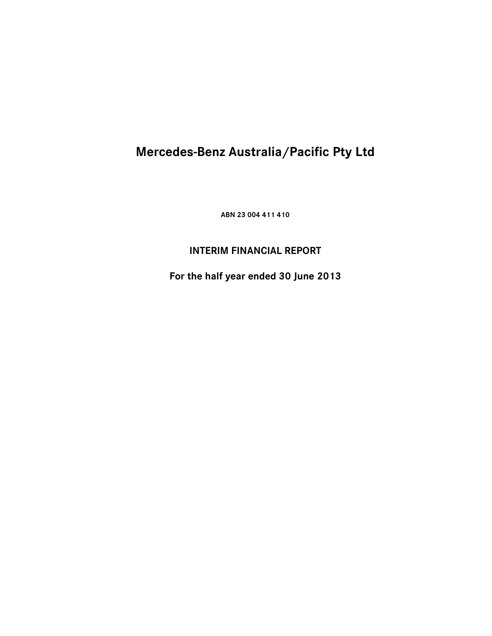**ABN 23 004 411 410** 

## **INTERIM FINANCIAL REPORT**

**For the half year ended 30 June 2013**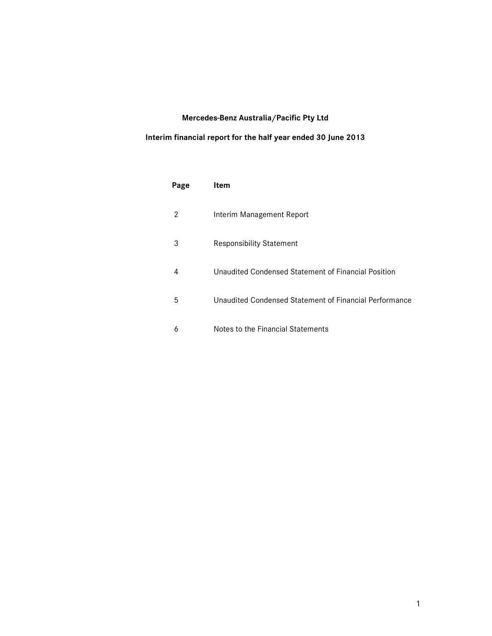### **Interim financial report for the half year ended 30 June 2013**

| Page | Item                                                   |
|------|--------------------------------------------------------|
| 2    | Interim Management Report                              |
| 3    | <b>Responsibility Statement</b>                        |
| 4    | Unaudited Condensed Statement of Financial Position    |
| 5    | Unaudited Condensed Statement of Financial Performance |
| 6    | Notes to the Financial Statements                      |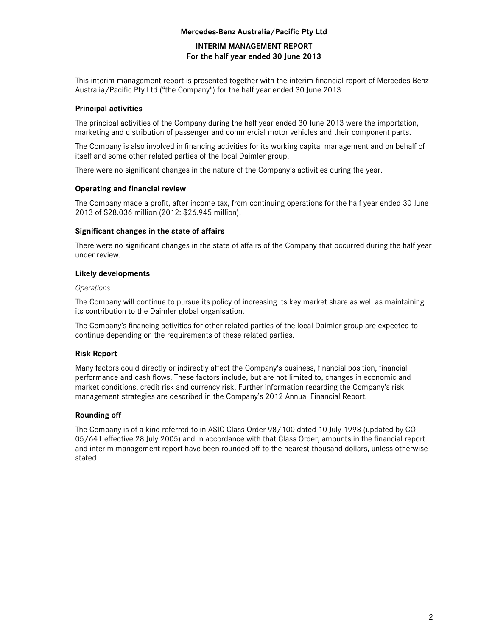### **INTERIM MANAGEMENT REPORT For the half year ended 30 June 2013**

This interim management report is presented together with the interim financial report of Mercedes-Benz Australia/Pacific Pty Ltd ("the Company") for the half year ended 30 June 2013.

### **Principal activities**

The principal activities of the Company during the half year ended 30 June 2013 were the importation, marketing and distribution of passenger and commercial motor vehicles and their component parts.

The Company is also involved in financing activities for its working capital management and on behalf of itself and some other related parties of the local Daimler group.

There were no significant changes in the nature of the Company's activities during the year.

### **Operating and financial review**

The Company made a profit, after income tax, from continuing operations for the half year ended 30 June 2013 of \$28.036 million (2012: \$26.945 million).

### **Significant changes in the state of affairs**

There were no significant changes in the state of affairs of the Company that occurred during the half year under review.

### **Likely developments**

#### *Operations*

The Company will continue to pursue its policy of increasing its key market share as well as maintaining its contribution to the Daimler global organisation.

The Company's financing activities for other related parties of the local Daimler group are expected to continue depending on the requirements of these related parties.

### **Risk Report**

Many factors could directly or indirectly affect the Company's business, financial position, financial performance and cash flows. These factors include, but are not limited to, changes in economic and market conditions, credit risk and currency risk. Further information regarding the Company's risk management strategies are described in the Company's 2012 Annual Financial Report.

### **Rounding off**

The Company is of a kind referred to in ASIC Class Order 98/100 dated 10 July 1998 (updated by CO 05/641 effective 28 July 2005) and in accordance with that Class Order, amounts in the financial report and interim management report have been rounded off to the nearest thousand dollars, unless otherwise stated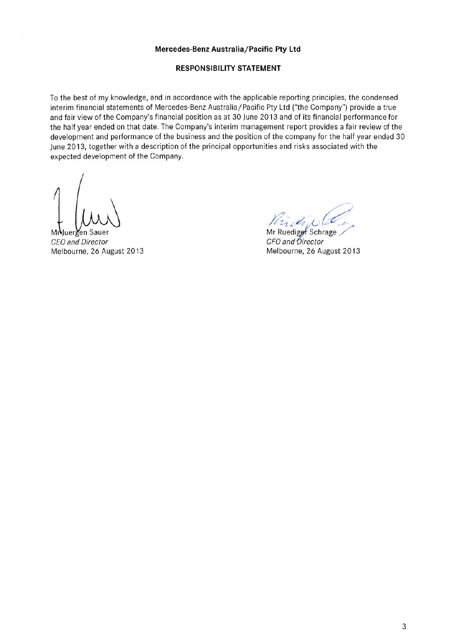### **RESPONSIBILITY STATEMENT**

To the best of my knowledge, and in accordance with the applicable reporting principles, the condensed interim financial statements of Mercedes-Benz Australia/Pacific Pty Ltd ("the Company") provide a true and fair view of the Company's financial position as at 30 June 2013 and of its financial performance for the half year ended on that date. The Company's interim management report provides a fair review of the development and performance of the business and the position of the company for the half year ended 30 June 2013, together with a description of the principal opportunities and risks associated with the expected development of the Company.

M luergen CEO and Director Melbourne, 26 August 2013

riched

Mr Ruediger Schrage CFO and Director Melbourne, 26 August 2013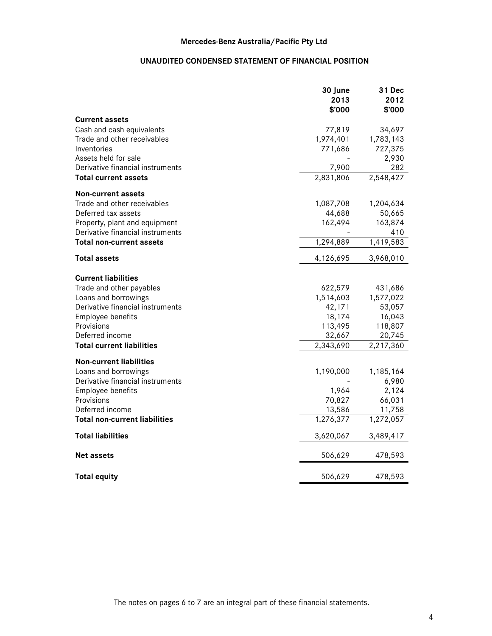### **UNAUDITED CONDENSED STATEMENT OF FINANCIAL POSITION**

|                                      | 30 June             | 31 Dec            |
|--------------------------------------|---------------------|-------------------|
|                                      | 2013                | 2012              |
|                                      | \$'000              | \$'000            |
| <b>Current assets</b>                |                     |                   |
| Cash and cash equivalents            | 77,819              | 34,697            |
| Trade and other receivables          | 1,974,401           | 1,783,143         |
| Inventories                          | 771,686             | 727,375           |
| Assets held for sale                 |                     | 2,930             |
| Derivative financial instruments     | 7,900               | 282               |
| <b>Total current assets</b>          | 2,831,806           | 2,548,427         |
| Non-current assets                   |                     |                   |
| Trade and other receivables          | 1,087,708           | 1,204,634         |
| Deferred tax assets                  | 44,688              | 50,665            |
| Property, plant and equipment        | 162,494             | 163,874           |
| Derivative financial instruments     |                     | 410               |
| <b>Total non-current assets</b>      | 1,294,889           | 1,419,583         |
|                                      |                     |                   |
| <b>Total assets</b>                  | 4,126,695           | 3,968,010         |
|                                      |                     |                   |
| <b>Current liabilities</b>           |                     |                   |
| Trade and other payables             | 622,579             | 431,686           |
| Loans and borrowings                 | 1,514,603           | 1,577,022         |
| Derivative financial instruments     | 42,171              | 53,057            |
| Employee benefits<br>Provisions      | 18,174              | 16,043            |
| Deferred income                      | 113,495             | 118,807<br>20,745 |
| <b>Total current liabilities</b>     | 32,667<br>2,343,690 | 2,217,360         |
|                                      |                     |                   |
| <b>Non-current liabilities</b>       |                     |                   |
| Loans and borrowings                 | 1,190,000           | 1,185,164         |
| Derivative financial instruments     |                     | 6,980             |
| Employee benefits                    | 1,964               | 2,124             |
| Provisions                           | 70,827              | 66,031            |
| Deferred income                      | 13,586              | 11,758            |
| <b>Total non-current liabilities</b> | 1,276,377           | 1,272,057         |
| <b>Total liabilities</b>             | 3,620,067           | 3,489,417         |
| <b>Net assets</b>                    | 506,629             | 478,593           |
| <b>Total equity</b>                  | 506,629             | 478,593           |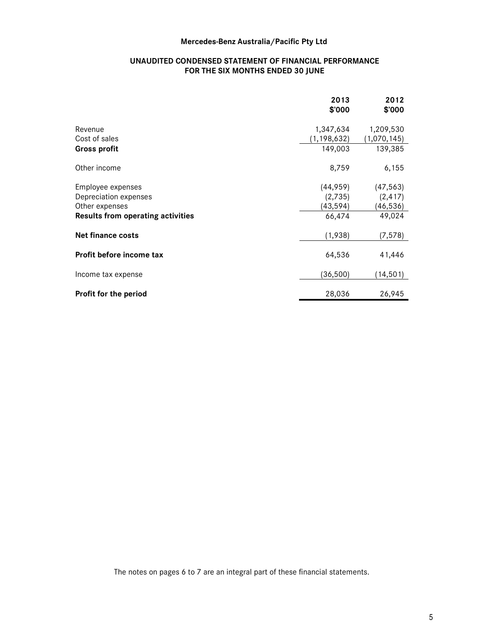### **UNAUDITED CONDENSED STATEMENT OF FINANCIAL PERFORMANCE FOR THE SIX MONTHS ENDED 30 JUNE**

|                                          | 2013<br>\$'000 | 2012<br>\$'000 |
|------------------------------------------|----------------|----------------|
| Revenue                                  | 1,347,634      | 1,209,530      |
| Cost of sales                            | (1, 198, 632)  | (1,070,145)    |
| Gross profit                             | 149,003        | 139,385        |
| Other income                             | 8,759          | 6,155          |
| Employee expenses                        | (44,959)       | (47, 563)      |
| Depreciation expenses                    | (2,735)        | (2, 417)       |
| Other expenses                           | (43, 594)      | (46,536)       |
| <b>Results from operating activities</b> | 66,474         | 49,024         |
| Net finance costs                        | (1,938)        | (7, 578)       |
| Profit before income tax                 | 64,536         | 41,446         |
| Income tax expense                       | (36, 500)      | (14,501)       |
| Profit for the period                    | 28,036         | 26,945         |

The notes on pages 6 to 7 are an integral part of these financial statements.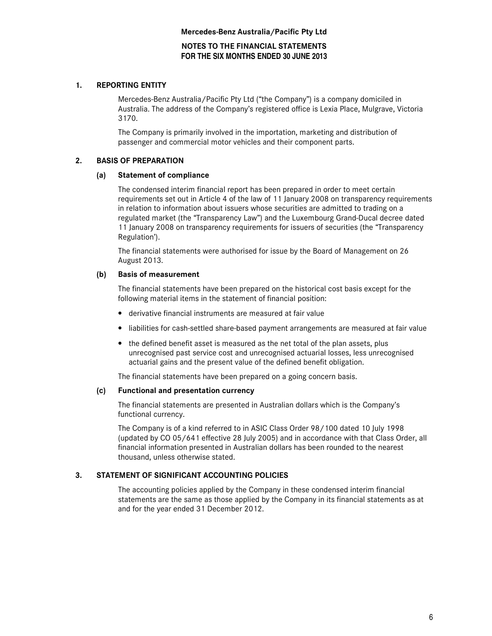**NOTES TO THE FINANCIAL STATEMENTS FOR THE SIX MONTHS ENDED 30 JUNE 2013** 

### **1. REPORTING ENTITY**

Mercedes-Benz Australia/Pacific Pty Ltd ("the Company") is a company domiciled in Australia. The address of the Company's registered office is Lexia Place, Mulgrave, Victoria 3170.

The Company is primarily involved in the importation, marketing and distribution of passenger and commercial motor vehicles and their component parts.

### **2. BASIS OF PREPARATION**

### **(a) Statement of compliance**

The condensed interim financial report has been prepared in order to meet certain requirements set out in Article 4 of the law of 11 January 2008 on transparency requirements in relation to information about issuers whose securities are admitted to trading on a regulated market (the "Transparency Law") and the Luxembourg Grand-Ducal decree dated 11 January 2008 on transparency requirements for issuers of securities (the "Transparency Regulation').

The financial statements were authorised for issue by the Board of Management on 26 August 2013.

### **(b) Basis of measurement**

The financial statements have been prepared on the historical cost basis except for the following material items in the statement of financial position:

- derivative financial instruments are measured at fair value
- liabilities for cash-settled share-based payment arrangements are measured at fair value
- the defined benefit asset is measured as the net total of the plan assets, plus unrecognised past service cost and unrecognised actuarial losses, less unrecognised actuarial gains and the present value of the defined benefit obligation.

The financial statements have been prepared on a going concern basis.

### **(c) Functional and presentation currency**

The financial statements are presented in Australian dollars which is the Company's functional currency.

The Company is of a kind referred to in ASIC Class Order 98/100 dated 10 July 1998 (updated by CO 05/641 effective 28 July 2005) and in accordance with that Class Order, all financial information presented in Australian dollars has been rounded to the nearest thousand, unless otherwise stated.

### **3. STATEMENT OF SIGNIFICANT ACCOUNTING POLICIES**

The accounting policies applied by the Company in these condensed interim financial statements are the same as those applied by the Company in its financial statements as at and for the year ended 31 December 2012.